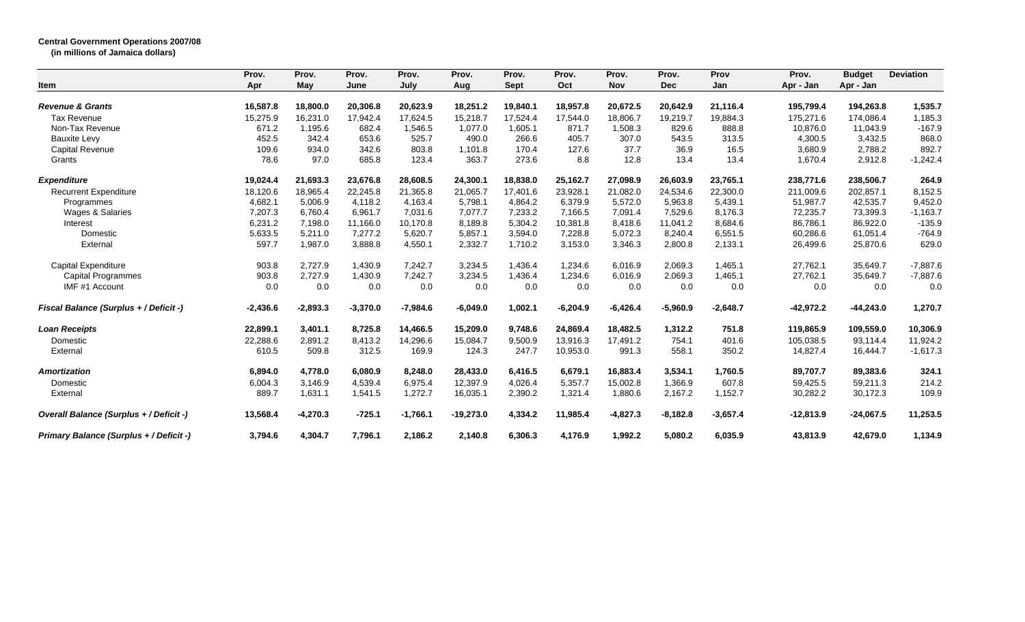## **Central Government Operations 2007/08**

**(in millions of Jamaica dollars)**

|                                               | Prov.      | Prov.      | Prov.      | Prov.      | Prov.       | Prov.       | Prov.      | Prov.      | Prov.      | Prov       | Prov.       | <b>Budget</b> | <b>Deviation</b> |
|-----------------------------------------------|------------|------------|------------|------------|-------------|-------------|------------|------------|------------|------------|-------------|---------------|------------------|
| Item                                          | Apr        | May        | June       | July       | Aug         | <b>Sept</b> | Oct        | <b>Nov</b> | <b>Dec</b> | Jan        | Apr - Jan   | Apr - Jan     |                  |
| <b>Revenue &amp; Grants</b>                   | 16,587.8   | 18.800.0   | 20,306.8   | 20,623.9   | 18,251.2    | 19,840.1    | 18,957.8   | 20,672.5   | 20,642.9   | 21,116.4   | 195,799.4   | 194,263.8     | 1,535.7          |
| <b>Tax Revenue</b>                            | 15,275.9   | 16,231.0   | 17,942.4   | 17,624.5   | 15,218.7    | 17,524.4    | 17,544.0   | 18,806.7   | 19,219.7   | 19,884.3   | 175,271.6   | 174,086.4     | 1,185.3          |
| Non-Tax Revenue                               | 671.2      | 1,195.6    | 682.4      | 1,546.5    | 1,077.0     | 1,605.1     | 871.7      | 1,508.3    | 829.6      | 888.8      | 10,876.0    | 11,043.9      | $-167.9$         |
| <b>Bauxite Levy</b>                           | 452.5      | 342.4      | 653.6      | 525.7      | 490.0       | 266.6       | 405.7      | 307.0      | 543.5      | 313.5      | 4,300.5     | 3,432.5       | 868.0            |
| Capital Revenue                               | 109.6      | 934.0      | 342.6      | 803.8      | 1,101.8     | 170.4       | 127.6      | 37.7       | 36.9       | 16.5       | 3,680.9     | 2,788.2       | 892.7            |
| Grants                                        | 78.6       | 97.0       | 685.8      | 123.4      | 363.7       | 273.6       | 8.8        | 12.8       | 13.4       | 13.4       | 1,670.4     | 2,912.8       | $-1,242.4$       |
| <b>Expenditure</b>                            | 19,024.4   | 21,693.3   | 23,676.8   | 28,608.5   | 24,300.1    | 18,838.0    | 25,162.7   | 27,098.9   | 26,603.9   | 23,765.1   | 238,771.6   | 238,506.7     | 264.9            |
| <b>Recurrent Expenditure</b>                  | 18,120.6   | 18,965.4   | 22,245.8   | 21,365.8   | 21,065.7    | 17,401.6    | 23,928.1   | 21,082.0   | 24,534.6   | 22,300.0   | 211,009.6   | 202,857.1     | 8,152.5          |
| Programmes                                    | 4,682.1    | 5,006.9    | 4,118.2    | 4,163.4    | 5,798.1     | 4,864.2     | 6,379.9    | 5,572.0    | 5,963.8    | 5,439.1    | 51,987.7    | 42,535.7      | 9,452.0          |
| Wages & Salaries                              | 7,207.3    | 6,760.4    | 6,961.7    | 7,031.6    | 7.077.7     | 7,233.2     | 7,166.5    | 7,091.4    | 7,529.6    | 8,176.3    | 72,235.7    | 73,399.3      | $-1,163.7$       |
| Interest                                      | 6,231.2    | 7,198.0    | 11,166.0   | 10,170.8   | 8,189.8     | 5,304.2     | 10,381.8   | 8,418.6    | 11,041.2   | 8,684.6    | 86,786.1    | 86,922.0      | $-135.9$         |
| Domestic                                      | 5,633.5    | 5,211.0    | 7,277.2    | 5,620.7    | 5,857.1     | 3,594.0     | 7,228.8    | 5,072.3    | 8,240.4    | 6,551.5    | 60,286.6    | 61,051.4      | $-764.9$         |
| External                                      | 597.7      | 1,987.0    | 3,888.8    | 4,550.1    | 2,332.7     | 1,710.2     | 3,153.0    | 3,346.3    | 2,800.8    | 2,133.1    | 26,499.6    | 25,870.6      | 629.0            |
| Capital Expenditure                           | 903.8      | 2,727.9    | 1,430.9    | 7,242.7    | 3,234.5     | 1,436.4     | 1,234.6    | 6,016.9    | 2,069.3    | 1,465.1    | 27,762.1    | 35,649.7      | $-7,887.6$       |
| <b>Capital Programmes</b>                     | 903.8      | 2,727.9    | 1,430.9    | 7,242.7    | 3,234.5     | 1,436.4     | 1,234.6    | 6,016.9    | 2,069.3    | 1,465.1    | 27,762.1    | 35,649.7      | $-7,887.6$       |
| IMF #1 Account                                | 0.0        | 0.0        | 0.0        | 0.0        | 0.0         | 0.0         | 0.0        | 0.0        | 0.0        | 0.0        | 0.0         | 0.0           | 0.0              |
| <b>Fiscal Balance (Surplus + / Deficit -)</b> | $-2,436.6$ | $-2,893.3$ | $-3,370.0$ | $-7,984.6$ | $-6,049.0$  | 1,002.1     | $-6,204.9$ | $-6,426.4$ | $-5,960.9$ | $-2,648.7$ | $-42,972.2$ | $-44,243.0$   | 1,270.7          |
| <b>Loan Receipts</b>                          | 22,899.1   | 3,401.1    | 8,725.8    | 14,466.5   | 15,209.0    | 9,748.6     | 24,869.4   | 18,482.5   | 1,312.2    | 751.8      | 119,865.9   | 109,559.0     | 10,306.9         |
| Domestic                                      | 22,288.6   | 2,891.2    | 8,413.2    | 14,296.6   | 15,084.7    | 9,500.9     | 13,916.3   | 17,491.2   | 754.1      | 401.6      | 105,038.5   | 93,114.4      | 11,924.2         |
| External                                      | 610.5      | 509.8      | 312.5      | 169.9      | 124.3       | 247.7       | 10,953.0   | 991.3      | 558.1      | 350.2      | 14,827.4    | 16,444.7      | $-1,617.3$       |
| <b>Amortization</b>                           | 6,894.0    | 4,778.0    | 6,080.9    | 8,248.0    | 28,433.0    | 6,416.5     | 6,679.1    | 16,883.4   | 3,534.1    | 1,760.5    | 89,707.7    | 89,383.6      | 324.1            |
| Domestic                                      | 6,004.3    | 3,146.9    | 4,539.4    | 6,975.4    | 12,397.9    | 4,026.4     | 5,357.7    | 15,002.8   | 1,366.9    | 607.8      | 59,425.5    | 59,211.3      | 214.2            |
| External                                      | 889.7      | 1,631.1    | 1,541.5    | 1,272.7    | 16,035.1    | 2,390.2     | 1,321.4    | 1,880.6    | 2,167.2    | 1,152.7    | 30,282.2    | 30,172.3      | 109.9            |
| Overall Balance (Surplus + / Deficit -)       | 13,568.4   | $-4,270.3$ | $-725.1$   | $-1,766.1$ | $-19,273.0$ | 4,334.2     | 11,985.4   | $-4,827.3$ | $-8,182.8$ | $-3,657.4$ | $-12,813.9$ | $-24,067.5$   | 11,253.5         |
| Primary Balance (Surplus + / Deficit -)       | 3,794.6    | 4,304.7    | 7,796.1    | 2,186.2    | 2,140.8     | 6,306.3     | 4,176.9    | 1,992.2    | 5,080.2    | 6,035.9    | 43,813.9    | 42,679.0      | 1,134.9          |